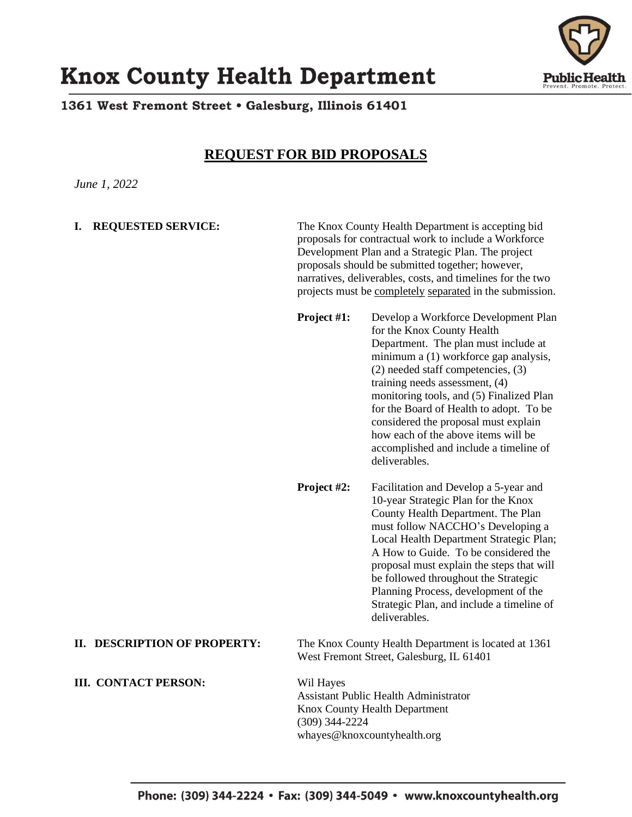

# **Knox County Health Department**

1361 West Fremont Street • Galesburg, Illinois 61401

## **REQUEST FOR BID PROPOSALS**

*June 1, 2022*

**I. REQUESTED SERVICE:** The Knox County Health Department is accepting bid proposals for contractual work to include a Workforce Development Plan and a Strategic Plan. The project proposals should be submitted together; however, narratives, deliverables, costs, and timelines for the two projects must be completely separated in the submission.

> **Project #1:** Develop a Workforce Development Plan for the Knox County Health Department. The plan must include at minimum a (1) workforce gap analysis, (2) needed staff competencies, (3) training needs assessment, (4) monitoring tools, and (5) Finalized Plan for the Board of Health to adopt. To be considered the proposal must explain how each of the above items will be accomplished and include a timeline of deliverables.

> **Project #2:** Facilitation and Develop a 5-year and 10-year Strategic Plan for the Knox County Health Department. The Plan must follow NACCHO's Developing a Local Health Department Strategic Plan; A How to Guide. To be considered the proposal must explain the steps that will be followed throughout the Strategic Planning Process, development of the Strategic Plan, and include a timeline of deliverables.

**II. DESCRIPTION OF PROPERTY:** The Knox County Health Department is located at 1361 West Fremont Street, Galesburg, IL 61401

### **III. CONTACT PERSON:** Wil Hayes

Assistant Public Health Administrator Knox County Health Department (309) 344-2224 whayes@knoxcountyhealth.org